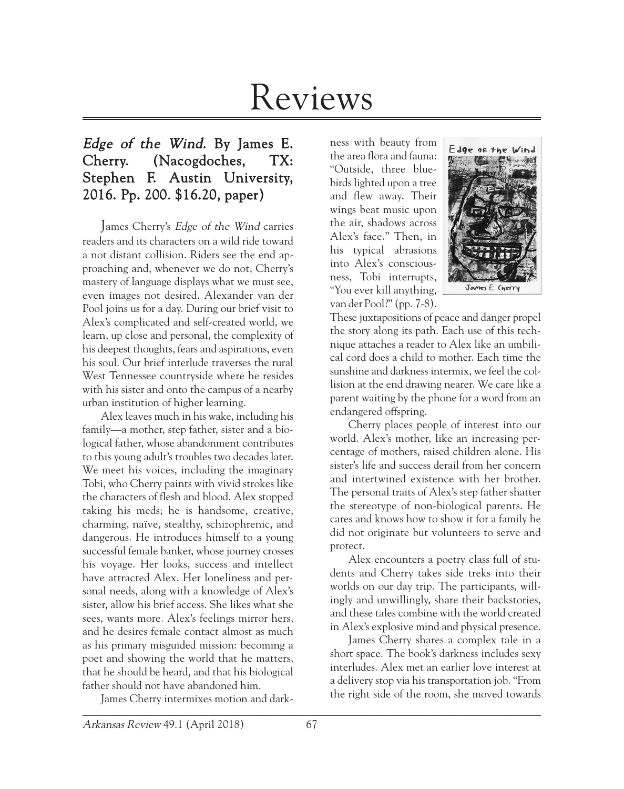# Reviews

# Edge of the Wind. By James E. Cherry. (Nacogdoches, TX: Stephen F. Austin University, 2016. Pp. 200. \$16.20, paper)

James Cherry's Edge of the Wind carries readers and its characters on a wild ride toward a not distant collision. Riders see the end approaching and, whenever we do not, Cherry's mastery of language displays what we must see, even images not desired. Alexander van der Pool joins us for a day. During our brief visit to Alex's complicated and self-created world, we learn, up close and personal, the complexity of his deepest thoughts, fears and aspirations, even his soul. Our brief interlude traverses the rural West Tennessee countryside where he resides with his sister and onto the campus of a nearby urban institution of higher learning.

Alex leaves much in his wake, including his family—a mother, step father, sister and a biological father, whose abandonment contributes to this young adult's troubles two decades later. We meet his voices, including the imaginary Tobi, who Cherry paints with vivid strokes like the characters of flesh and blood. Alex stopped taking his meds; he is handsome, creative, charming, naïve, stealthy, schizophrenic, and dangerous. He introduces himself to a young successful female banker, whose journey crosses his voyage. Her looks, success and intellect have attracted Alex. Her loneliness and personal needs, along with a knowledge of Alex's sister, allow his brief access. She likes what she sees, wants more. Alex's feelings mirror hers, and he desires female contact almost as much as his primary misguided mission: becoming a poet and showing the world that he matters, that he should be heard, and that his biological father should not have abandoned him.

 $\mathcal{L}$  and the contribution of the contribution of the contribution of the contribution of the contribution of the contribution of the contribution of the contribution of the contribution of the contribution of the cont James Cherry intermixes motion and dark-

ness with beauty from the area flora and fauna: "Outside, three bluebirds lighted upon a tree and flew away. Their wings beat music upon the air, shadows across Alex's face." Then, in his typical abrasions into Alex's consciousness, Tobi interrupts, "You ever kill anything, van der Pool?" (pp. 7-8).



These juxtapositions of peace and danger propel the story along its path. Each use of this technique attaches a reader to Alex like an umbilical cord does a child to mother. Each time the sunshine and darkness intermix, we feel the collision at the end drawing nearer. We care like a parent waiting by the phone for a word from an endangered offspring.

Cherry places people of interest into our world. Alex's mother, like an increasing percentage of mothers, raised children alone. His sister's life and success derail from her concern and intertwined existence with her brother. The personal traits of Alex's step father shatter the stereotype of non-biological parents. He cares and knows how to show it for a family he did not originate but volunteers to serve and protect.

Alex encounters a poetry class full of students and Cherry takes side treks into their worlds on our day trip. The participants, willingly and unwillingly, share their backstories, and these tales combine with the world created in Alex's explosive mind and physical presence.

James Cherry shares a complex tale in a short space. The book's darkness includes sexy interludes. Alex met an earlier love interest at a delivery stop via his transportation job. "From the right side of the room, she moved towards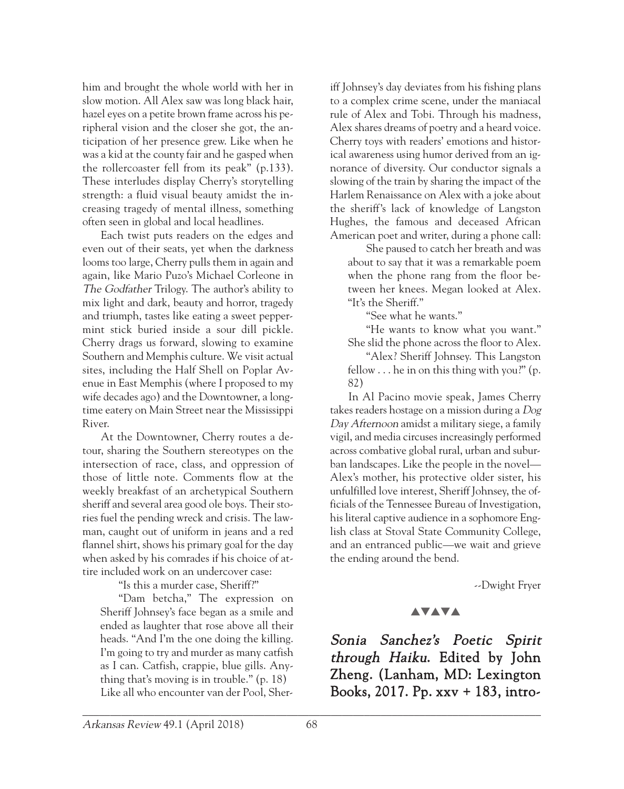him and brought the whole world with her in slow motion. All Alex saw was long black hair, hazel eyes on a petite brown frame across his peripheral vision and the closer she got, the anticipation of her presence grew. Like when he was a kid at the county fair and he gasped when the rollercoaster fell from its peak" (p.133). These interludes display Cherry's storytelling strength: a fluid visual beauty amidst the increasing tragedy of mental illness, something often seen in global and local headlines.

Each twist puts readers on the edges and even out of their seats, yet when the darkness looms too large, Cherry pulls them in again and again, like Mario Puzo's Michael Corleone in The Godfather Trilogy. The author's ability to mix light and dark, beauty and horror, tragedy and triumph, tastes like eating a sweet peppermint stick buried inside a sour dill pickle. Cherry drags us forward, slowing to examine Southern and Memphis culture. We visit actual sites, including the Half Shell on Poplar Avenue in East Memphis (where I proposed to my wife decades ago) and the Downtowner, a longtime eatery on Main Street near the Mississippi River.

At the Downtowner, Cherry routes a detour, sharing the Southern stereotypes on the intersection of race, class, and oppression of those of little note. Comments flow at the weekly breakfast of an archetypical Southern sheriff and several area good ole boys. Their stories fuel the pending wreck and crisis. The lawman, caught out of uniform in jeans and a red flannel shirt, shows his primary goal for the day when asked by his comrades if his choice of attire included work on an undercover case:

"Is this a murder case, Sheriff?"

"Dam betcha," The expression on Sheriff Johnsey's face began as a smile and ended as laughter that rose above all their heads. "And I'm the one doing the killing. I'm going to try and murder as many catfish as I can. Catfish, crappie, blue gills. Anything that's moving is in trouble." (p. 18) Like all who encounter van der Pool, Sheriff Johnsey's day deviates from his fishing plans to a complex crime scene, under the maniacal rule of Alex and Tobi. Through his madness, Alex shares dreams of poetry and a heard voice. Cherry toys with readers' emotions and historical awareness using humor derived from an ignorance of diversity. Our conductor signals a slowing of the train by sharing the impact of the Harlem Renaissance on Alex with a joke about the sheriff's lack of knowledge of Langston Hughes, the famous and deceased African American poet and writer, during a phone call:

She paused to catch her breath and was about to say that it was a remarkable poem when the phone rang from the floor between her knees. Megan looked at Alex. "It's the Sheriff."

"See what he wants."

"He wants to know what you want." She slid the phone across the floor to Alex.

"Alex? Sheriff Johnsey. This Langston fellow . . . he in on this thing with you?" (p. 82)

In Al Pacino movie speak, James Cherry takes readers hostage on a mission during a Dog Day Afternoon amidst a military siege, a family vigil, and media circuses increasingly performed across combative global rural, urban and suburban landscapes. Like the people in the novel— Alex's mother, his protective older sister, his unfulfilled love interest, Sheriff Johnsey, the officials of the Tennessee Bureau of Investigation, his literal captive audience in a sophomore English class at Stoval State Community College, and an entranced public—we wait and grieve the ending around the bend.

--Dwight Fryer

## **AVAVA**

Sonia Sanchez's Poetic Spirit through Haiku. Edited by John Zheng. (Lanham, MD: Lexington Books, 2017. Pp. xxv + 183, intro-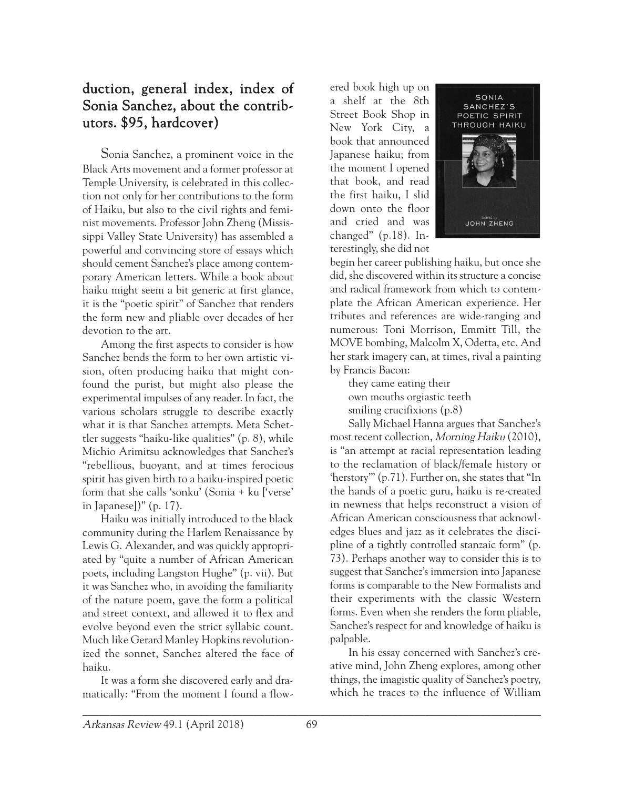# duction, general index, index of Sonia Sanchez, about the contributors. \$95, hardcover)

Sonia Sanchez, a prominent voice in the Black Arts movement and a former professor at Temple University, is celebrated in this collection not only for her contributions to the form of Haiku, but also to the civil rights and feminist movements. Professor John Zheng (Mississippi Valley State University) has assembled a powerful and convincing store of essays which should cement Sanchez's place among contemporary American letters. While a book about haiku might seem a bit generic at first glance, it is the "poetic spirit" of Sanchez that renders the form new and pliable over decades of her devotion to the art.

Among the first aspects to consider is how Sanchez bends the form to her own artistic vision, often producing haiku that might confound the purist, but might also please the experimental impulses of any reader. In fact, the various scholars struggle to describe exactly what it is that Sanchez attempts. Meta Schettler suggests "haiku-like qualities" (p. 8), while Michio Arimitsu acknowledges that Sanchez's "rebellious, buoyant, and at times ferocious spirit has given birth to a haiku-inspired poetic form that she calls 'sonku' (Sonia + ku ['verse' in Japanese])" (p. 17).

Haiku was initially introduced to the black community during the Harlem Renaissance by Lewis G. Alexander, and was quickly appropriated by "quite a number of African American poets, including Langston Hughe" (p. vii). But it was Sanchez who, in avoiding the familiarity of the nature poem, gave the form a political and street context, and allowed it to flex and evolve beyond even the strict syllabic count. Much like Gerard Manley Hopkins revolutionized the sonnet, Sanchez altered the face of haiku.

It was a form she discovered early and dramatically: "From the moment I found a flow-

ered book high up on a shelf at the 8th Street Book Shop in New York City, a book that announced Japanese haiku; from the moment I opened that book, and read the first haiku, I slid down onto the floor and cried and was changed" (p.18). Interestingly, she did not



begin her career publishing haiku, but once she did, she discovered within its structure a concise and radical framework from which to contemplate the African American experience. Her tributes and references are wide-ranging and numerous: Toni Morrison, Emmitt Till, the MOVE bombing, Malcolm X, Odetta, etc. And her stark imagery can, at times, rival a painting by Francis Bacon:

they came eating their own mouths orgiastic teeth smiling crucifixions (p.8)

Sally Michael Hanna argues that Sanchez's most recent collection, Morning Haiku (2010), is "an attempt at racial representation leading to the reclamation of black/female history or 'herstory'" (p.71). Further on, she states that "In the hands of a poetic guru, haiku is re-created in newness that helps reconstruct a vision of African American consciousness that acknowledges blues and jazz as it celebrates the discipline of a tightly controlled stanzaic form" (p. 73). Perhaps another way to consider this is to suggest that Sanchez's immersion into Japanese forms is comparable to the New Formalists and their experiments with the classic Western forms. Even when she renders the form pliable, Sanchez's respect for and knowledge of haiku is palpable.

In his essay concerned with Sanchez's creative mind, John Zheng explores, among other things, the imagistic quality of Sanchez's poetry, which he traces to the influence of William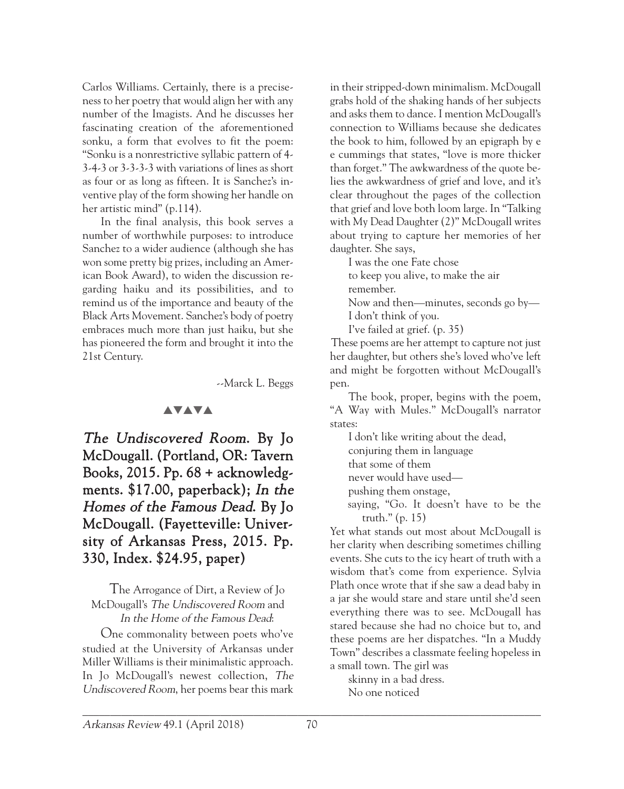Carlos Williams. Certainly, there is a preciseness to her poetry that would align her with any number of the Imagists. And he discusses her fascinating creation of the aforementioned sonku, a form that evolves to fit the poem: "Sonku is a nonrestrictive syllabic pattern of 4- 3-4-3 or 3-3-3-3 with variations of lines as short as four or as long as fifteen. It is Sanchez's inventive play of the form showing her handle on her artistic mind" (p.114).

In the final analysis, this book serves a number of worthwhile purposes: to introduce Sanchez to a wider audience (although she has won some pretty big prizes, including an American Book Award), to widen the discussion regarding haiku and its possibilities, and to remind us of the importance and beauty of the Black Arts Movement. Sanchez's body of poetry embraces much more than just haiku, but she has pioneered the form and brought it into the 21st Century.

--Marck L. Beggs

#### **AVAVA**

The Undiscovered Room. By Jo McDougall. (Portland, OR: Tavern Books, 2015. Pp. 68 + acknowledgments. \$17.00, paperback); In the Homes of the Famous Dead. By Jo McDougall. (Fayetteville: University of Arkansas Press, 2015. Pp. 330, Index. \$24.95, paper)

The Arrogance of Dirt, a Review of Jo McDougall's The Undiscovered Room and In the Home of the Famous Dead:

One commonality between poets who've studied at the University of Arkansas under Miller Williams is their minimalistic approach. In Jo McDougall's newest collection, The Undiscovered Room, her poems bear this mark

in their stripped-down minimalism. McDougall grabs hold of the shaking hands of her subjects and asks them to dance. I mention McDougall's connection to Williams because she dedicates the book to him, followed by an epigraph by e e cummings that states, "love is more thicker than forget." The awkwardness of the quote belies the awkwardness of grief and love, and it's clear throughout the pages of the collection that grief and love both loom large. In "Talking with My Dead Daughter (2)" McDougall writes about trying to capture her memories of her daughter. She says,

I was the one Fate chose to keep you alive, to make the air remember. Now and then—minutes, seconds go by— I don't think of you. I've failed at grief. (p. 35)

These poems are her attempt to capture not just her daughter, but others she's loved who've left and might be forgotten without McDougall's pen.

The book, proper, begins with the poem, "A Way with Mules." McDougall's narrator states:

I don't like writing about the dead, conjuring them in language that some of them never would have used pushing them onstage,

saying, "Go. It doesn't have to be the truth." (p. 15)

Yet what stands out most about McDougall is her clarity when describing sometimes chilling events. She cuts to the icy heart of truth with a wisdom that's come from experience. Sylvia Plath once wrote that if she saw a dead baby in a jar she would stare and stare until she'd seen everything there was to see. McDougall has stared because she had no choice but to, and these poems are her dispatches. "In a Muddy Town" describes a classmate feeling hopeless in a small town. The girl was

skinny in a bad dress. No one noticed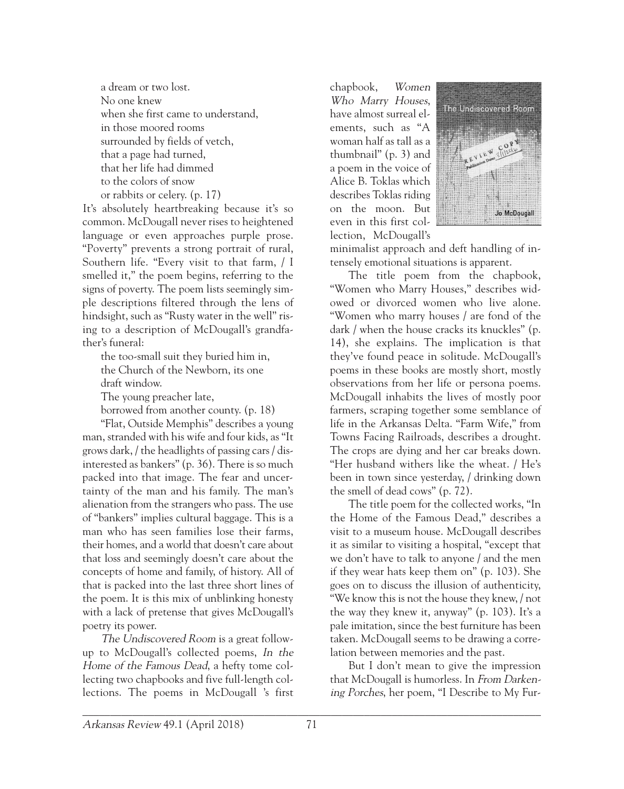a dream or two lost. No one knew when she first came to understand, in those moored rooms surrounded by fields of vetch, that a page had turned, that her life had dimmed to the colors of snow or rabbits or celery. (p. 17)

It's absolutely heartbreaking because it's so common. McDougall never rises to heightened language or even approaches purple prose. "Poverty" prevents a strong portrait of rural, Southern life. "Every visit to that farm, / I smelled it," the poem begins, referring to the signs of poverty. The poem lists seemingly simple descriptions filtered through the lens of hindsight, such as "Rusty water in the well" rising to a description of McDougall's grandfather's funeral:

the too-small suit they buried him in, the Church of the Newborn, its one draft window.

The young preacher late,

borrowed from another county. (p. 18)

"Flat, Outside Memphis" describes a young man, stranded with his wife and four kids, as "It grows dark, / the headlights of passing cars / disinterested as bankers" (p. 36). There is so much packed into that image. The fear and uncertainty of the man and his family. The man's alienation from the strangers who pass. The use of "bankers" implies cultural baggage. This is a man who has seen families lose their farms, their homes, and a world that doesn't care about that loss and seemingly doesn't care about the concepts of home and family, of history. All of that is packed into the last three short lines of the poem. It is this mix of unblinking honesty with a lack of pretense that gives McDougall's poetry its power.

The Undiscovered Room is a great followup to McDougall's collected poems, In the Home of the Famous Dead, a hefty tome collecting two chapbooks and five full-length collections. The poems in McDougall 's first

chapbook, Women Who Marry Houses, have almost surreal elements, such as "A woman half as tall as a thumbnail" (p. 3) and a poem in the voice of Alice B. Toklas which describes Toklas riding on the moon. But even in this first collection, McDougall's



minimalist approach and deft handling of intensely emotional situations is apparent.

The title poem from the chapbook, "Women who Marry Houses," describes widowed or divorced women who live alone. "Women who marry houses / are fond of the dark / when the house cracks its knuckles" (p. 14), she explains. The implication is that they've found peace in solitude. McDougall's poems in these books are mostly short, mostly observations from her life or persona poems. McDougall inhabits the lives of mostly poor farmers, scraping together some semblance of life in the Arkansas Delta. "Farm Wife," from Towns Facing Railroads, describes a drought. The crops are dying and her car breaks down. "Her husband withers like the wheat. / He's been in town since yesterday, / drinking down the smell of dead cows" (p. 72).

The title poem for the collected works, "In the Home of the Famous Dead," describes a visit to a museum house. McDougall describes it as similar to visiting a hospital, "except that we don't have to talk to anyone / and the men if they wear hats keep them on" (p. 103). She goes on to discuss the illusion of authenticity, "We know this is not the house they knew, / not the way they knew it, anyway" (p. 103). It's a pale imitation, since the best furniture has been taken. McDougall seems to be drawing a correlation between memories and the past.

But I don't mean to give the impression that McDougall is humorless. In From Darkening Porches, her poem, "I Describe to My Fur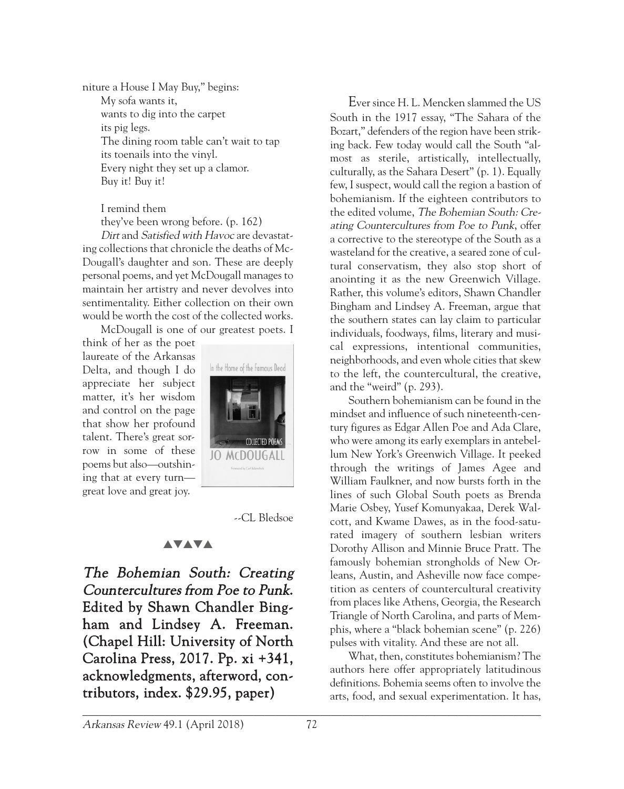niture a House I May Buy," begins: My sofa wants it, wants to dig into the carpet its pig legs. The dining room table can't wait to tap its toenails into the vinyl. Every night they set up a clamor. Buy it! Buy it!

I remind them

they've been wrong before. (p. 162)

Dirt and Satisfied with Havoc are devastating collections that chronicle the deaths of Mc-Dougall's daughter and son. These are deeply personal poems, and yet McDougall manages to maintain her artistry and never devolves into sentimentality. Either collection on their own would be worth the cost of the collected works.

McDougall is one of our greatest poets. I

think of her as the poet laureate of the Arkansas Delta, and though I do appreciate her subject matter, it's her wisdom and control on the page that show her profound talent. There's great sorrow in some of these poems but also—outshining that at every turn great love and great joy.



--CL Bledsoe

### **AVAVA**

The Bohemian South: Creating Countercultures from Poe to Punk. Edited by Shawn Chandler Bingham and Lindsey A. Freeman. (Chapel Hill: University of North Carolina Press, 2017. Pp. xi +341, acknowledgments, afterword, contributors, index. \$29.95, paper)

Ever since H. L. Mencken slammed the US South in the 1917 essay, "The Sahara of the Bozart," defenders of the region have been striking back. Few today would call the South "almost as sterile, artistically, intellectually, culturally, as the Sahara Desert" (p. 1). Equally few, I suspect, would call the region a bastion of bohemianism. If the eighteen contributors to the edited volume, The Bohemian South: Creating Countercultures from Poe to Punk, offer a corrective to the stereotype of the South as a wasteland for the creative, a seared zone of cultural conservatism, they also stop short of anointing it as the new Greenwich Village. Rather, this volume's editors, Shawn Chandler Bingham and Lindsey A. Freeman, argue that the southern states can lay claim to particular individuals, foodways, films, literary and musical expressions, intentional communities, neighborhoods, and even whole cities that skew to the left, the countercultural, the creative, and the "weird" (p. 293).

Southern bohemianism can be found in the mindset and influence of such nineteenth-century figures as Edgar Allen Poe and Ada Clare, who were among its early exemplars in antebellum New York's Greenwich Village. It peeked through the writings of James Agee and William Faulkner, and now bursts forth in the lines of such Global South poets as Brenda Marie Osbey, Yusef Komunyakaa, Derek Walcott, and Kwame Dawes, as in the food-saturated imagery of southern lesbian writers Dorothy Allison and Minnie Bruce Pratt. The famously bohemian strongholds of New Orleans, Austin, and Asheville now face competition as centers of countercultural creativity from places like Athens, Georgia, the Research Triangle of North Carolina, and parts of Memphis, where a "black bohemian scene" (p. 226) pulses with vitality. And these are not all.

What, then, constitutes bohemianism? The authors here offer appropriately latitudinous definitions. Bohemia seems often to involve the arts, food, and sexual experimentation. It has,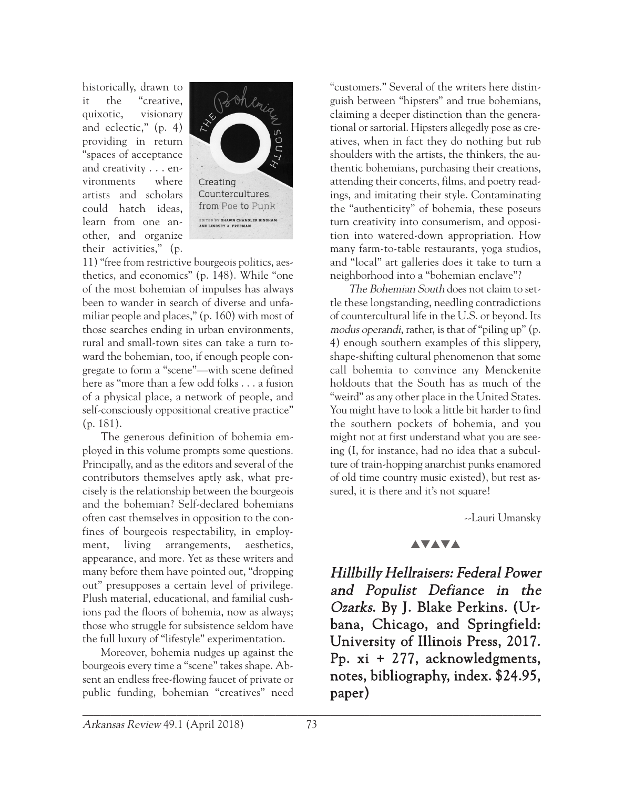historically, drawn to it the "creative, quixotic, visionary and eclectic," (p. 4) providing in return "spaces of acceptance and creativity . . . environments where artists and scholars could hatch ideas, learn from one another, and organize their activities," (p.



11) "free from restrictive bourgeois politics, aesthetics, and economics" (p. 148). While "one of the most bohemian of impulses has always been to wander in search of diverse and unfamiliar people and places," (p. 160) with most of those searches ending in urban environments, rural and small-town sites can take a turn toward the bohemian, too, if enough people congregate to form a "scene"—with scene defined here as "more than a few odd folks . . . a fusion of a physical place, a network of people, and self-consciously oppositional creative practice" (p. 181).

The generous definition of bohemia employed in this volume prompts some questions. Principally, and as the editors and several of the contributors themselves aptly ask, what precisely is the relationship between the bourgeois and the bohemian? Self-declared bohemians often cast themselves in opposition to the confines of bourgeois respectability, in employment, living arrangements, aesthetics, appearance, and more. Yet as these writers and many before them have pointed out, "dropping out" presupposes a certain level of privilege. Plush material, educational, and familial cushions pad the floors of bohemia, now as always; those who struggle for subsistence seldom have the full luxury of "lifestyle" experimentation.

Moreover, bohemia nudges up against the bourgeois every time a "scene" takes shape. Absent an endless free-flowing faucet of private or public funding, bohemian "creatives" need

"customers." Several of the writers here distinguish between "hipsters" and true bohemians, claiming a deeper distinction than the generational or sartorial. Hipsters allegedly pose as creatives, when in fact they do nothing but rub shoulders with the artists, the thinkers, the authentic bohemians, purchasing their creations, attending their concerts, films, and poetry readings, and imitating their style. Contaminating the "authenticity" of bohemia, these poseurs turn creativity into consumerism, and opposition into watered-down appropriation. How many farm-to-table restaurants, yoga studios, and "local" art galleries does it take to turn a neighborhood into a "bohemian enclave"?

The Bohemian South does not claim to settle these longstanding, needling contradictions of countercultural life in the U.S. or beyond. Its modus operandi, rather, is that of "piling up" (p. 4) enough southern examples of this slippery, shape-shifting cultural phenomenon that some call bohemia to convince any Menckenite holdouts that the South has as much of the "weird" as any other place in the United States. You might have to look a little bit harder to find the southern pockets of bohemia, and you might not at first understand what you are seeing (I, for instance, had no idea that a subculture of train-hopping anarchist punks enamored of old time country music existed), but rest assured, it is there and it's not square!

--Lauri Umansky

### **AVAVA**

Hillbilly Hellraisers: Federal Power and Populist Defiance in the Ozarks. By J. Blake Perkins. (Urbana, Chicago, and Springfield: University of Illinois Press, 2017. Pp. xi + 277, acknowledgments, notes, bibliography, index. \$24.95, paper)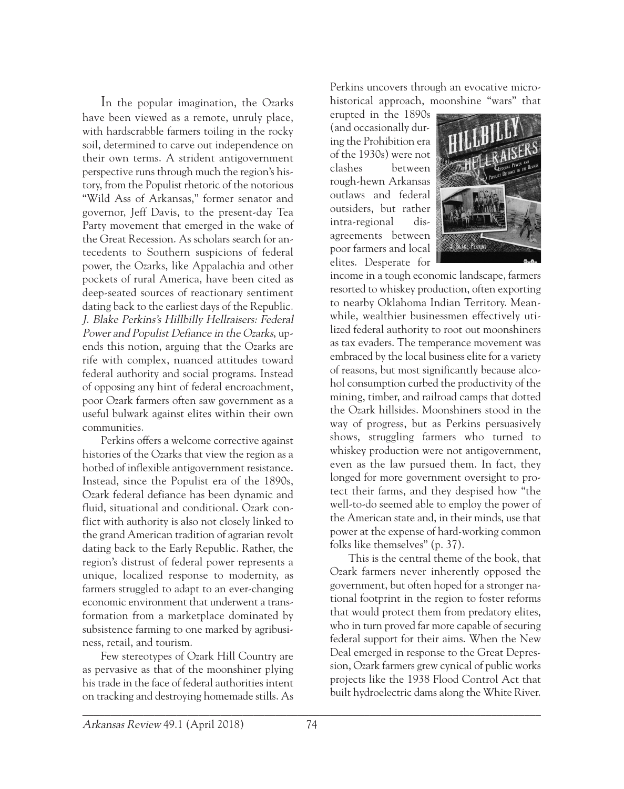In the popular imagination, the Ozarks have been viewed as a remote, unruly place, with hardscrabble farmers toiling in the rocky soil, determined to carve out independence on their own terms. A strident antigovernment perspective runs through much the region's history, from the Populist rhetoric of the notorious "Wild Ass of Arkansas," former senator and governor, Jeff Davis, to the present-day Tea Party movement that emerged in the wake of the Great Recession. As scholars search for antecedents to Southern suspicions of federal power, the Ozarks, like Appalachia and other pockets of rural America, have been cited as deep-seated sources of reactionary sentiment dating back to the earliest days of the Republic. J. Blake Perkins's Hillbilly Hellraisers: Federal Power and Populist Defiance in the Ozarks, upends this notion, arguing that the Ozarks are rife with complex, nuanced attitudes toward federal authority and social programs. Instead of opposing any hint of federal encroachment, poor Ozark farmers often saw government as a useful bulwark against elites within their own communities.

Perkins offers a welcome corrective against histories of the Ozarks that view the region as a hotbed of inflexible antigovernment resistance. Instead, since the Populist era of the 1890s, Ozark federal defiance has been dynamic and fluid, situational and conditional. Ozark conflict with authority is also not closely linked to the grand American tradition of agrarian revolt dating back to the Early Republic. Rather, the region's distrust of federal power represents a unique, localized response to modernity, as farmers struggled to adapt to an ever-changing economic environment that underwent a transformation from a marketplace dominated by subsistence farming to one marked by agribusiness, retail, and tourism.

Few stereotypes of Ozark Hill Country are as pervasive as that of the moonshiner plying his trade in the face of federal authorities intent on tracking and destroying homemade stills. As

Perkins uncovers through an evocative microhistorical approach, moonshine "wars" that

erupted in the 1890s (and occasionally during the Prohibition era of the 1930s) were not clashes between rough-hewn Arkansas outlaws and federal outsiders, but rather intra-regional disagreements between poor farmers and local elites. Desperate for



income in a tough economic landscape, farmers resorted to whiskey production, often exporting to nearby Oklahoma Indian Territory. Meanwhile, wealthier businessmen effectively utilized federal authority to root out moonshiners as tax evaders. The temperance movement was embraced by the local business elite for a variety of reasons, but most significantly because alcohol consumption curbed the productivity of the mining, timber, and railroad camps that dotted the Ozark hillsides. Moonshiners stood in the way of progress, but as Perkins persuasively shows, struggling farmers who turned to whiskey production were not antigovernment, even as the law pursued them. In fact, they longed for more government oversight to protect their farms, and they despised how "the well-to-do seemed able to employ the power of the American state and, in their minds, use that power at the expense of hard-working common folks like themselves" (p. 37).

This is the central theme of the book, that Ozark farmers never inherently opposed the government, but often hoped for a stronger national footprint in the region to foster reforms that would protect them from predatory elites, who in turn proved far more capable of securing federal support for their aims. When the New Deal emerged in response to the Great Depression, Ozark farmers grew cynical of public works projects like the 1938 Flood Control Act that built hydroelectric dams along the White River.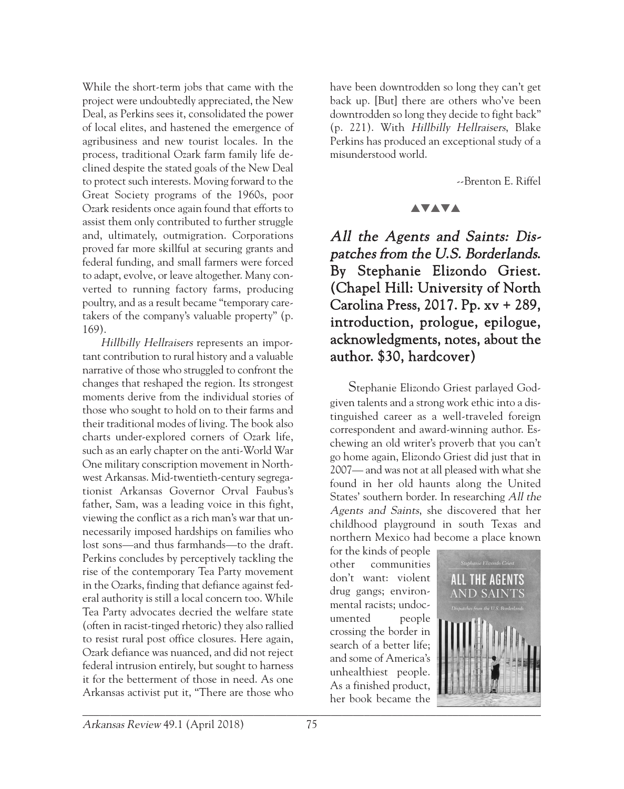While the short-term jobs that came with the project were undoubtedly appreciated, the New Deal, as Perkins sees it, consolidated the power of local elites, and hastened the emergence of agribusiness and new tourist locales. In the process, traditional Ozark farm family life declined despite the stated goals of the New Deal to protect such interests. Moving forward to the Great Society programs of the 1960s, poor Ozark residents once again found that efforts to assist them only contributed to further struggle and, ultimately, outmigration. Corporations proved far more skillful at securing grants and federal funding, and small farmers were forced to adapt, evolve, or leave altogether. Many converted to running factory farms, producing poultry, and as a result became "temporary caretakers of the company's valuable property" (p. 169).

Hillbilly Hellraisers represents an important contribution to rural history and a valuable narrative of those who struggled to confront the changes that reshaped the region. Its strongest moments derive from the individual stories of those who sought to hold on to their farms and their traditional modes of living. The book also charts under-explored corners of Ozark life, such as an early chapter on the anti-World War One military conscription movement in Northwest Arkansas. Mid-twentieth-century segregationist Arkansas Governor Orval Faubus's father, Sam, was a leading voice in this fight, viewing the conflict as a rich man's war that unnecessarily imposed hardships on families who lost sons—and thus farmhands—to the draft. Perkins concludes by perceptively tackling the rise of the contemporary Tea Party movement in the Ozarks, finding that defiance against federal authority is still a local concern too. While Tea Party advocates decried the welfare state (often in racist-tinged rhetoric) they also rallied to resist rural post office closures. Here again, Ozark defiance was nuanced, and did not reject federal intrusion entirely, but sought to harness it for the betterment of those in need. As one Arkansas activist put it, "There are those who

have been downtrodden so long they can't get back up. [But] there are others who've been downtrodden so long they decide to fight back" (p. 221). With Hillbilly Hellraisers, Blake Perkins has produced an exceptional study of a misunderstood world.

--Brenton E. Riffel

#### **AVAVA**

All the Agents and Saints: Dispatches from the U.S. Borderlands. By Stephanie Elizondo Griest. (Chapel Hill: University of North Carolina Press, 2017. Pp. xv + 289, introduction, prologue, epilogue, acknowledgments, notes, about the author. \$30, hardcover)

Stephanie Elizondo Griest parlayed Godgiven talents and a strong work ethic into a distinguished career as a well-traveled foreign correspondent and award-winning author. Eschewing an old writer's proverb that you can't go home again, Elizondo Griest did just that in 2007— and was not at all pleased with what she found in her old haunts along the United States' southern border. In researching All the Agents and Saints, she discovered that her childhood playground in south Texas and northern Mexico had become a place known

for the kinds of people other communities don't want: violent drug gangs; environmental racists; undocumented people crossing the border in search of a better life; and some of America's unhealthiest people. As a finished product, her book became the

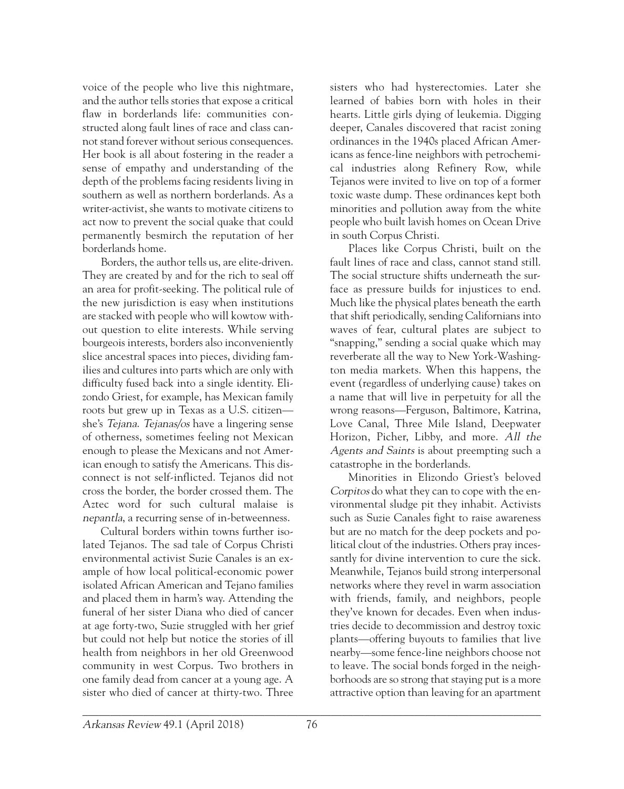voice of the people who live this nightmare, and the author tells stories that expose a critical flaw in borderlands life: communities constructed along fault lines of race and class cannot stand forever without serious consequences. Her book is all about fostering in the reader a sense of empathy and understanding of the depth of the problems facing residents living in southern as well as northern borderlands. As a writer-activist, she wants to motivate citizens to act now to prevent the social quake that could permanently besmirch the reputation of her borderlands home.

Borders, the author tells us, are elite-driven. They are created by and for the rich to seal off an area for profit-seeking. The political rule of the new jurisdiction is easy when institutions are stacked with people who will kowtow without question to elite interests. While serving bourgeois interests, borders also inconveniently slice ancestral spaces into pieces, dividing families and cultures into parts which are only with difficulty fused back into a single identity. Elizondo Griest, for example, has Mexican family roots but grew up in Texas as a U.S. citizen she's Tejana. Tejanas/os have a lingering sense of otherness, sometimes feeling not Mexican enough to please the Mexicans and not American enough to satisfy the Americans. This disconnect is not self-inflicted. Tejanos did not cross the border, the border crossed them. The Aztec word for such cultural malaise is nepantla, a recurring sense of in-betweenness.

Cultural borders within towns further isolated Tejanos. The sad tale of Corpus Christi environmental activist Suzie Canales is an example of how local political-economic power isolated African American and Tejano families and placed them in harm's way. Attending the funeral of her sister Diana who died of cancer at age forty-two, Suzie struggled with her grief but could not help but notice the stories of ill health from neighbors in her old Greenwood community in west Corpus. Two brothers in one family dead from cancer at a young age. A sister who died of cancer at thirty-two. Three

sisters who had hysterectomies. Later she learned of babies born with holes in their hearts. Little girls dying of leukemia. Digging deeper, Canales discovered that racist zoning ordinances in the 1940s placed African Americans as fence-line neighbors with petrochemical industries along Refinery Row, while Tejanos were invited to live on top of a former toxic waste dump. These ordinances kept both minorities and pollution away from the white people who built lavish homes on Ocean Drive in south Corpus Christi.

Places like Corpus Christi, built on the fault lines of race and class, cannot stand still. The social structure shifts underneath the surface as pressure builds for injustices to end. Much like the physical plates beneath the earth that shift periodically, sending Californians into waves of fear, cultural plates are subject to "snapping," sending a social quake which may reverberate all the way to New York-Washington media markets. When this happens, the event (regardless of underlying cause) takes on a name that will live in perpetuity for all the wrong reasons—Ferguson, Baltimore, Katrina, Love Canal, Three Mile Island, Deepwater Horizon, Picher, Libby, and more. All the Agents and Saints is about preempting such a catastrophe in the borderlands.

Minorities in Elizondo Griest's beloved Corpitos do what they can to cope with the environmental sludge pit they inhabit. Activists such as Suzie Canales fight to raise awareness but are no match for the deep pockets and political clout of the industries. Others pray incessantly for divine intervention to cure the sick. Meanwhile, Tejanos build strong interpersonal networks where they revel in warm association with friends, family, and neighbors, people they've known for decades. Even when industries decide to decommission and destroy toxic plants—offering buyouts to families that live nearby—some fence-line neighbors choose not to leave. The social bonds forged in the neighborhoods are so strong that staying put is a more attractive option than leaving for an apartment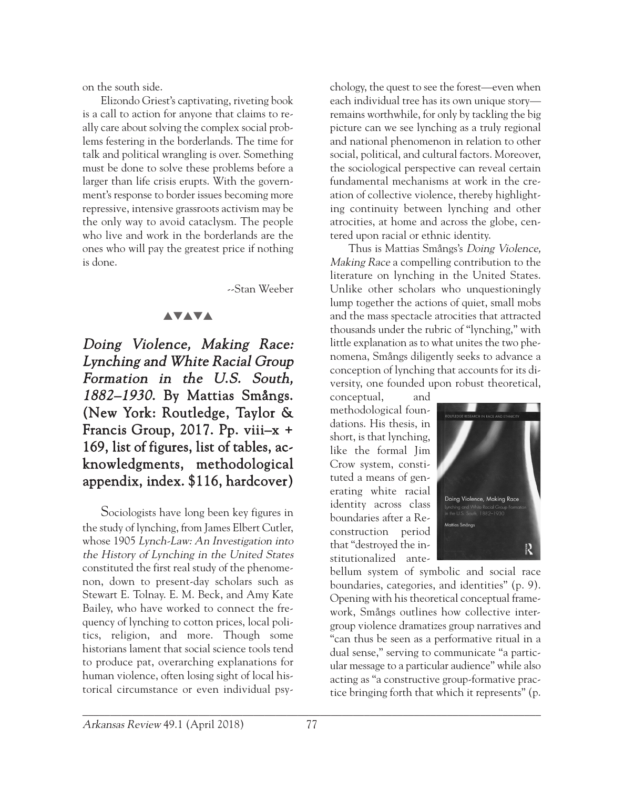on the south side.

Elizondo Griest's captivating, riveting book is a call to action for anyone that claims to really care about solving the complex social problems festering in the borderlands. The time for talk and political wrangling is over. Something must be done to solve these problems before a larger than life crisis erupts. With the government's response to border issues becoming more repressive, intensive grassroots activism may be the only way to avoid cataclysm. The people who live and work in the borderlands are the ones who will pay the greatest price if nothing is done.

--Stan Weeber

## **AVAVA**

Doing Violence, Making Race: Lynching and White Racial Group Formation in the U.S. South, 1882–1930. By Mattias Smångs. (New York: Routledge, Taylor & Francis Group, 2017. Pp. viii–x + 169, list of figures, list of tables, acknowledgments, methodological appendix, index. \$116, hardcover)

Sociologists have long been key figures in the study of lynching, from James Elbert Cutler, whose 1905 Lynch-Law: An Investigation into the History of Lynching in the United States constituted the first real study of the phenomenon, down to present-day scholars such as Stewart E. Tolnay. E. M. Beck, and Amy Kate Bailey, who have worked to connect the frequency of lynching to cotton prices, local politics, religion, and more. Though some historians lament that social science tools tend to produce pat, overarching explanations for human violence, often losing sight of local historical circumstance or even individual psy-

chology, the quest to see the forest—even when each individual tree has its own unique story remains worthwhile, for only by tackling the big picture can we see lynching as a truly regional and national phenomenon in relation to other social, political, and cultural factors. Moreover, the sociological perspective can reveal certain fundamental mechanisms at work in the creation of collective violence, thereby highlighting continuity between lynching and other atrocities, at home and across the globe, centered upon racial or ethnic identity.

Thus is Mattias Smångs's Doing Violence, Making Race a compelling contribution to the literature on lynching in the United States. Unlike other scholars who unquestioningly lump together the actions of quiet, small mobs and the mass spectacle atrocities that attracted thousands under the rubric of "lynching," with little explanation as to what unites the two phenomena, Smångs diligently seeks to advance a conception of lynching that accounts for its diversity, one founded upon robust theoretical,

conceptual, and methodological foundations. His thesis, in short, is that lynching, like the formal Jim Crow system, constituted a means of generating white racial identity across class boundaries after a Reconstruction period that "destroyed the institutionalized ante-



bellum system of symbolic and social race boundaries, categories, and identities" (p. 9). Opening with his theoretical conceptual framework, Smångs outlines how collective intergroup violence dramatizes group narratives and "can thus be seen as a performative ritual in a dual sense," serving to communicate "a particular message to a particular audience" while also acting as "a constructive group-formative practice bringing forth that which it represents" (p.